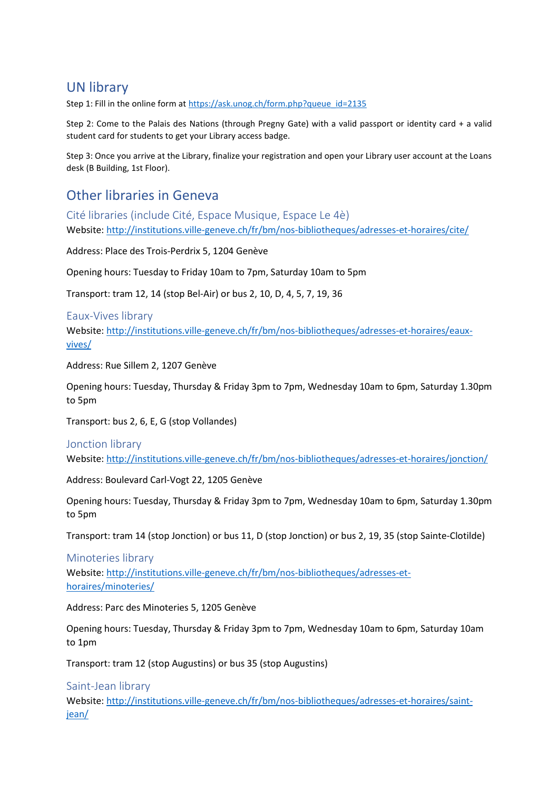# UN library

Step 1: Fill in the online form a[t https://ask.unog.ch/form.php?queue\\_id=2135](https://ask.unog.ch/form.php?queue_id=2135)

Step 2: Come to the Palais des Nations (through Pregny Gate) with a valid passport or identity card + a valid student card for students to get your Library access badge.

Step 3: Once you arrive at the Library, finalize your registration and open your Library user account at the Loans desk (B Building, 1st Floor).

# Other libraries in Geneva

Cité libraries (include Cité, Espace Musique, Espace Le 4è) Website:<http://institutions.ville-geneve.ch/fr/bm/nos-bibliotheques/adresses-et-horaires/cite/>

Address: Place des Trois-Perdrix 5, 1204 Genève

Opening hours: Tuesday to Friday 10am to 7pm, Saturday 10am to 5pm

Transport: tram 12, 14 (stop Bel-Air) or bus 2, 10, D, 4, 5, 7, 19, 36

### Eaux-Vives library

Website: [http://institutions.ville-geneve.ch/fr/bm/nos-bibliotheques/adresses-et-horaires/eaux](http://institutions.ville-geneve.ch/fr/bm/nos-bibliotheques/adresses-et-horaires/eaux-vives/)[vives/](http://institutions.ville-geneve.ch/fr/bm/nos-bibliotheques/adresses-et-horaires/eaux-vives/)

Address: Rue Sillem 2, 1207 Genève

Opening hours: Tuesday, Thursday & Friday 3pm to 7pm, Wednesday 10am to 6pm, Saturday 1.30pm to 5pm

Transport: bus 2, 6, E, G (stop Vollandes)

## Jonction library

Website:<http://institutions.ville-geneve.ch/fr/bm/nos-bibliotheques/adresses-et-horaires/jonction/>

Address: Boulevard Carl-Vogt 22, 1205 Genève

Opening hours: Tuesday, Thursday & Friday 3pm to 7pm, Wednesday 10am to 6pm, Saturday 1.30pm to 5pm

Transport: tram 14 (stop Jonction) or bus 11, D (stop Jonction) or bus 2, 19, 35 (stop Sainte-Clotilde)

Minoteries library Website: [http://institutions.ville-geneve.ch/fr/bm/nos-bibliotheques/adresses-et](http://institutions.ville-geneve.ch/fr/bm/nos-bibliotheques/adresses-et-horaires/minoteries/)[horaires/minoteries/](http://institutions.ville-geneve.ch/fr/bm/nos-bibliotheques/adresses-et-horaires/minoteries/)

Address: Parc des Minoteries 5, 1205 Genève

Opening hours: Tuesday, Thursday & Friday 3pm to 7pm, Wednesday 10am to 6pm, Saturday 10am to 1pm

Transport: tram 12 (stop Augustins) or bus 35 (stop Augustins)

Saint-Jean library

Website: [http://institutions.ville-geneve.ch/fr/bm/nos-bibliotheques/adresses-et-horaires/saint](http://institutions.ville-geneve.ch/fr/bm/nos-bibliotheques/adresses-et-horaires/saint-jean/)[jean/](http://institutions.ville-geneve.ch/fr/bm/nos-bibliotheques/adresses-et-horaires/saint-jean/)